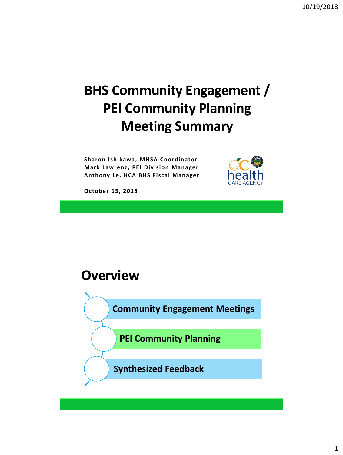# **BHS Community Engagement / PEI Community Planning Meeting Summary**

**Sharon Ishikawa, MHSA Coordinator Mark Lawrenz, PEI Division Manager Anthony Le, HCA BHS Fiscal Manager**



**October 15, 2018**

#### **Overview**

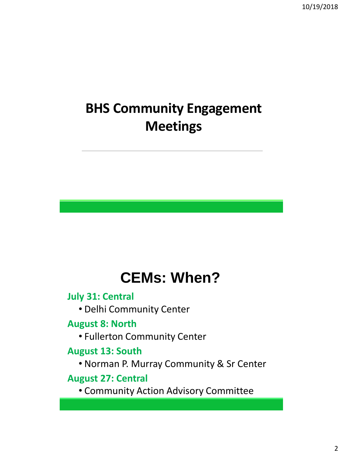# **BHS Community Engagement Meetings**

# **CEMs: When?**

**July 31: Central**

• Delhi Community Center

**August 8: North**

• Fullerton Community Center

#### **August 13: South**

• Norman P. Murray Community & Sr Center

#### **August 27: Central**

• Community Action Advisory Committee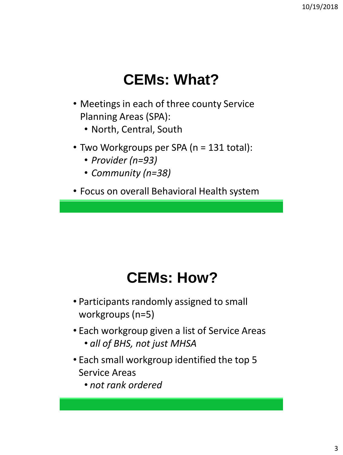# **CEMs: What?**

- Meetings in each of three county Service Planning Areas (SPA):
	- North, Central, South
- Two Workgroups per SPA (n = 131 total):
	- *Provider (n=93)*
	- *Community (n=38)*
- Focus on overall Behavioral Health system

# **CEMs: How?**

- Participants randomly assigned to small workgroups (n=5)
- Each workgroup given a list of Service Areas • *all of BHS, not just MHSA*
- Each small workgroup identified the top 5 Service Areas
	- *not rank ordered*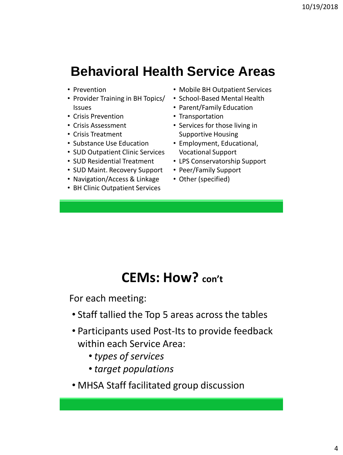# **Behavioral Health Service Areas**

- Prevention
- Provider Training in BH Topics/ Issues
- Crisis Prevention
- Crisis Assessment
- Crisis Treatment
- Substance Use Education
- SUD Outpatient Clinic Services
- SUD Residential Treatment
- SUD Maint. Recovery Support
- Navigation/Access & Linkage
- BH Clinic Outpatient Services
- Mobile BH Outpatient Services
- School-Based Mental Health
- Parent/Family Education
- Transportation
- Services for those living in Supportive Housing
- Employment, Educational, Vocational Support
- LPS Conservatorship Support
- Peer/Family Support
- Other (specified)

### **CEMs: How? con't**

For each meeting:

- Staff tallied the Top 5 areas across the tables
- Participants used Post-Its to provide feedback within each Service Area:
	- *types of services*
	- *target populations*
- MHSA Staff facilitated group discussion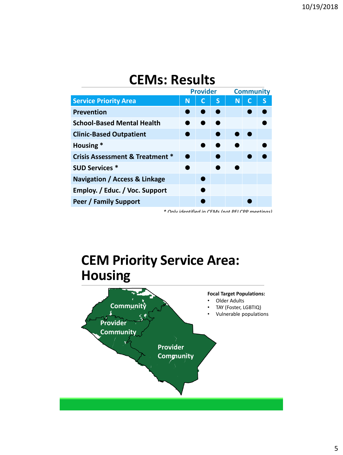## **CEMs: Results**

|                                            | <b>Provider</b> |   |   | <b>Community</b> |  |   |
|--------------------------------------------|-----------------|---|---|------------------|--|---|
| <b>Service Priority Area</b>               | N               | C | S | N                |  | S |
| <b>Prevention</b>                          |                 |   |   |                  |  |   |
| <b>School-Based Mental Health</b>          |                 |   |   |                  |  |   |
| <b>Clinic-Based Outpatient</b>             |                 |   |   |                  |  |   |
| Housing *                                  |                 |   |   |                  |  |   |
| <b>Crisis Assessment &amp; Treatment *</b> |                 |   |   |                  |  |   |
| <b>SUD Services *</b>                      |                 |   |   |                  |  |   |
| Navigation / Access & Linkage              |                 |   |   |                  |  |   |
| Employ. / Educ. / Voc. Support             |                 |   |   |                  |  |   |
| Peer / Family Support                      |                 |   |   |                  |  |   |

*\* Only identified in CEMs (not PEI CPP meetings)*

# **CEM Priority Service Area: Housing**

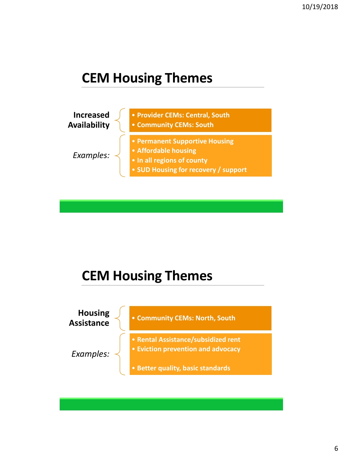# **CEM Housing Themes**



# **CEM Housing Themes**

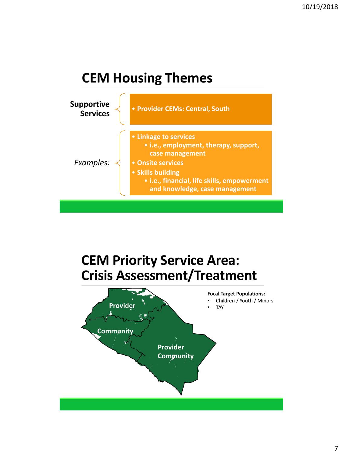## **CEM Housing Themes**



# **CEM Priority Service Area: Crisis Assessment/Treatment**

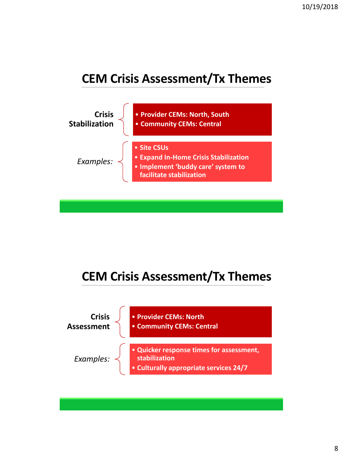### **CEM Crisis Assessment/Tx Themes**



### **CEM Crisis Assessment/Tx Themes**

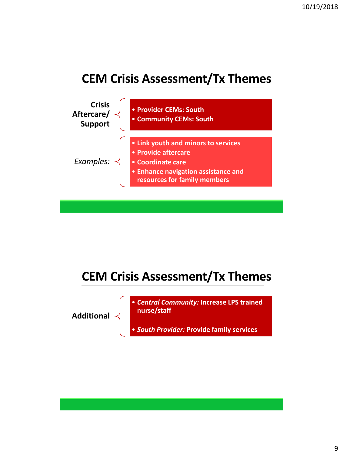#### **CEM Crisis Assessment/Tx Themes**



### **CEM Crisis Assessment/Tx Themes**

**Additional**

• *Central Community:* **Increase LPS trained nurse/staff**

• *South Provider:* **Provide family services**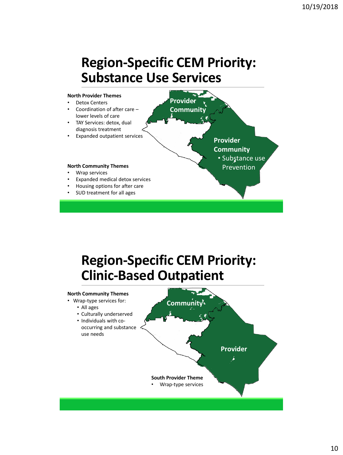# **Region-Specific CEM Priority: Substance Use Services**



# **Region-Specific CEM Priority: Clinic-Based Outpatient**

#### **Community Provider North Community Themes** • Wrap-type services for: • All ages • Culturally underserved • Individuals with cooccurring and substance use needs **South Provider Theme** • Wrap-type services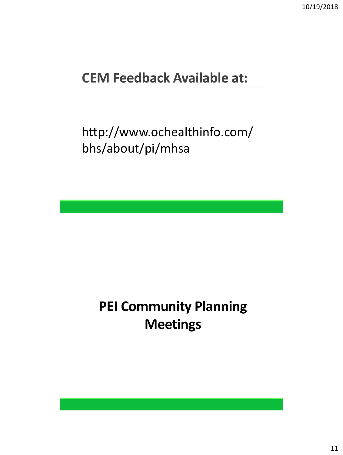# **CEM Feedback Available at:**

http://www.ochealthinfo.com/ bhs/about/pi/mhsa

# **PEI Community Planning Meetings**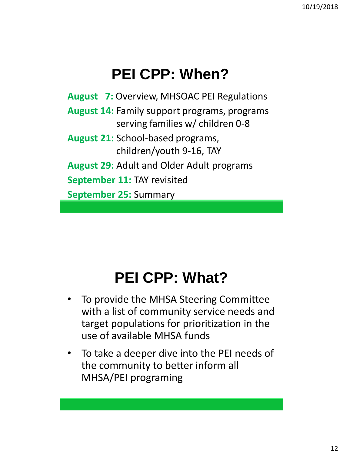# **PEI CPP: When?**

**August 7:** Overview, MHSOAC PEI Regulations **August 14:** Family support programs, programs serving families w/ children 0-8 **August 21:** School-based programs, children/youth 9-16, TAY **August 29:** Adult and Older Adult programs **September 11:** TAY revisited **September 25:** Summary

# **PEI CPP: What?**

- To provide the MHSA Steering Committee with a list of community service needs and target populations for prioritization in the use of available MHSA funds
- To take a deeper dive into the PEI needs of the community to better inform all MHSA/PEI programing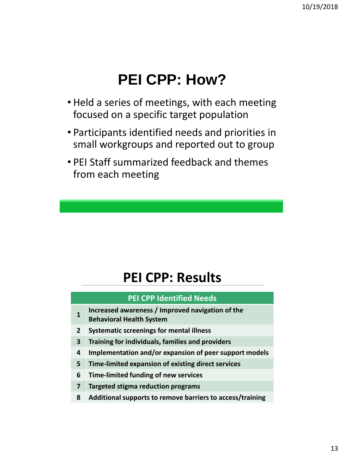# **PEI CPP: How?**

- Held a series of meetings, with each meeting focused on a specific target population
- Participants identified needs and priorities in small workgroups and reported out to group
- PEI Staff summarized feedback and themes from each meeting

# **PEI CPP: Results**

#### **PEI CPP Identified Needs**

- **1 Increased awareness / Improved navigation of the**
- **Behavioral Health System**
- **2 Systematic screenings for mental illness**
- **3 Training for individuals, families and providers**
- **4 Implementation and/or expansion of peer support models**
- **5 Time-limited expansion of existing direct services**
- **6 Time-limited funding of new services**
- **7 Targeted stigma reduction programs**
- **8 Additional supports to remove barriers to access/training**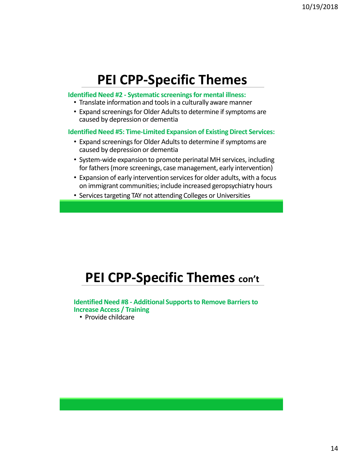#### **PEI CPP-Specific Themes**

#### **Identified Need #2 - Systematic screenings for mental illness:**

- Translate information and tools in a culturally aware manner
- Expand screenings for Older Adults to determine if symptoms are caused by depression or dementia

#### **Identified Need #5: Time-Limited Expansion of Existing Direct Services:**

- Expand screenings for Older Adults to determine if symptoms are caused by depression or dementia
- System-wide expansion to promote perinatal MH services, including for fathers (more screenings, case management, early intervention)
- Expansion of early intervention services for older adults, with a focus on immigrant communities; include increased geropsychiatry hours
- Services targeting TAY not attending Colleges or Universities

# **PEI CPP-Specific Themes con't**

#### **Identified Need #8 - Additional Supports to Remove Barriers to Increase Access / Training**

• Provide childcare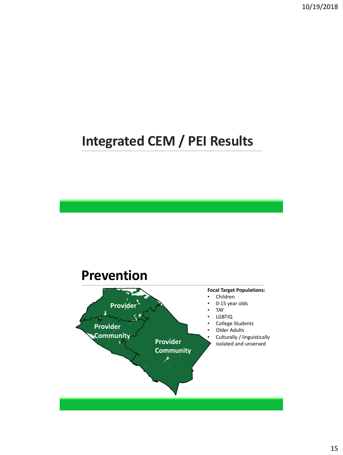10/19/2018

# **Integrated CEM / PEI Results**

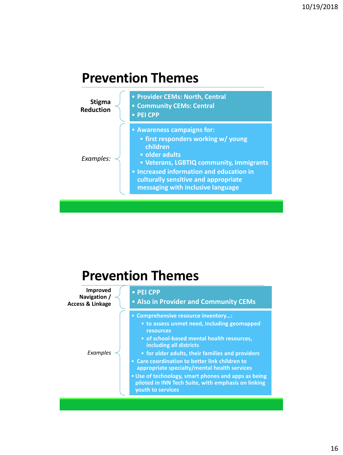### **Prevention Themes**



| <b>Prevention Themes</b>                                       |                                                                                                                                                                                                                                                                                                                                                                                                                                                                   |  |  |
|----------------------------------------------------------------|-------------------------------------------------------------------------------------------------------------------------------------------------------------------------------------------------------------------------------------------------------------------------------------------------------------------------------------------------------------------------------------------------------------------------------------------------------------------|--|--|
| <b>Improved</b><br>Navigation /<br><b>Access &amp; Linkage</b> | • PEI CPP<br>• Also in Provider and Community CEMs                                                                                                                                                                                                                                                                                                                                                                                                                |  |  |
| Examples                                                       | • Comprehensive resource inventory:<br>• to assess unmet need, including geomapped<br>resources<br>• of school-based mental health resources,<br>including all districts<br>• for older adults, their families and providers<br>• Care coordination to better link children to<br>appropriate specialty/mental health services<br>• Use of technology, smart phones and apps as being<br>piloted in INN Tech Suite, with emphasis on linking<br>youth to services |  |  |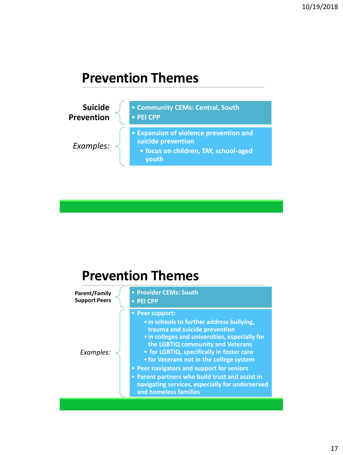## **Prevention Themes**



## **Prevention Themes**

| <b>Parent/Family</b><br><b>Support Peers</b> | • Provider CEMs: South<br>• PEI CPP                                                                                                                                                                                                                                                                                                                                                                                                                       |
|----------------------------------------------|-----------------------------------------------------------------------------------------------------------------------------------------------------------------------------------------------------------------------------------------------------------------------------------------------------------------------------------------------------------------------------------------------------------------------------------------------------------|
| Examples:                                    | • Peer support:<br>• in schools to further address bullying,<br>trauma and suicide prevention<br>• in colleges and universities, especially for<br>the LGBTIQ community and Veterans<br>• for LGBTIQ, specifically in foster care<br>• for Veterans not in the college system<br>• Peer navigators and support for seniors<br>• Parent partners who build trust and assist in<br>navigating services, especially for underserved<br>and homeless families |
|                                              |                                                                                                                                                                                                                                                                                                                                                                                                                                                           |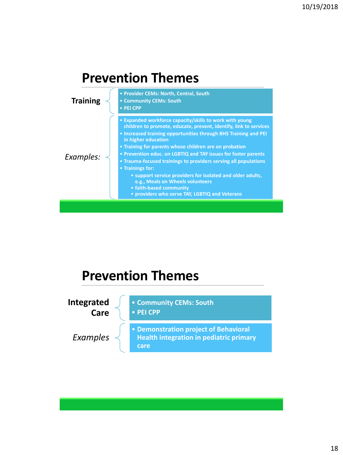





18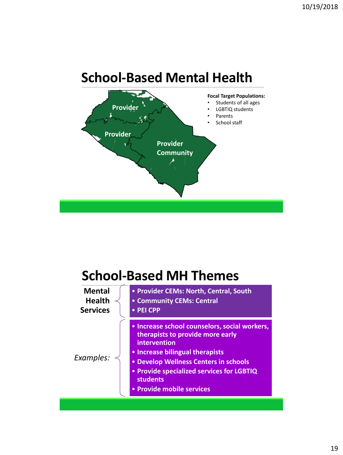

# **School-Based MH Themes**

| • Increase school counselors, social workers,<br>therapists to provide more early<br>intervention<br>• Increase bilingual therapists<br>Examples:<br>• Develop Wellness Centers in schools<br>• Provide specialized services for LGBTIQ<br><b>students</b><br>• Provide mobile services | <b>Mental</b><br><b>Health</b><br><b>Services</b> | • Provider CEMs: North, Central, South<br>• Community CEMs: Central<br>• PEI CPP |
|-----------------------------------------------------------------------------------------------------------------------------------------------------------------------------------------------------------------------------------------------------------------------------------------|---------------------------------------------------|----------------------------------------------------------------------------------|
|                                                                                                                                                                                                                                                                                         |                                                   |                                                                                  |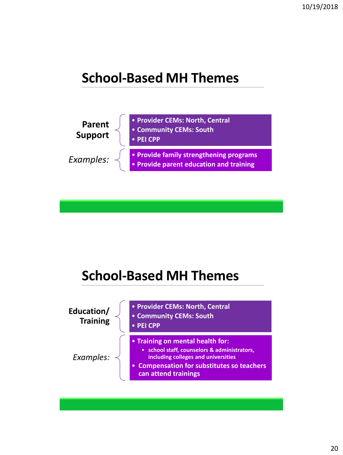## **School-Based MH Themes**



# **School-Based MH Themes**

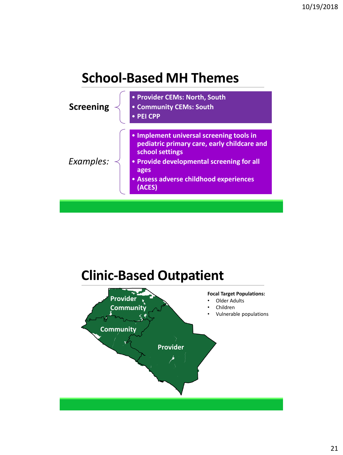### **School-Based MH Themes**



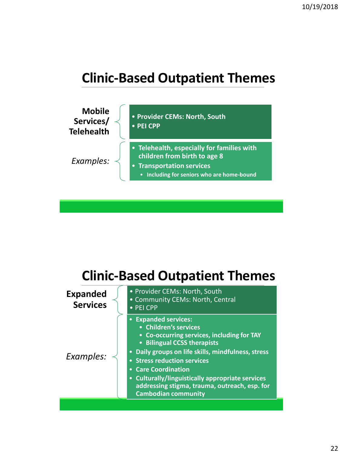# **Clinic-Based Outpatient Themes**



# **Clinic-Based Outpatient Themes**

| <b>Expanded services:</b><br>$\bullet$<br>• Children's services<br>• Co-occurring services, including for TAY<br>• Bilingual CCSS therapists<br>Daily groups on life skills, mindfulness, stress<br>$\bullet$<br>Examples:<br>• Stress reduction services<br><b>Care Coordination</b><br><b>Culturally/linguistically appropriate services</b><br>$\bullet$<br>addressing stigma, trauma, outreach, esp. for<br><b>Cambodian community</b> | <b>Expanded</b><br><b>Services</b> | • Provider CEMs: North, South<br>• Community CEMs: North, Central<br>• PEI CPP |
|--------------------------------------------------------------------------------------------------------------------------------------------------------------------------------------------------------------------------------------------------------------------------------------------------------------------------------------------------------------------------------------------------------------------------------------------|------------------------------------|--------------------------------------------------------------------------------|
|                                                                                                                                                                                                                                                                                                                                                                                                                                            |                                    |                                                                                |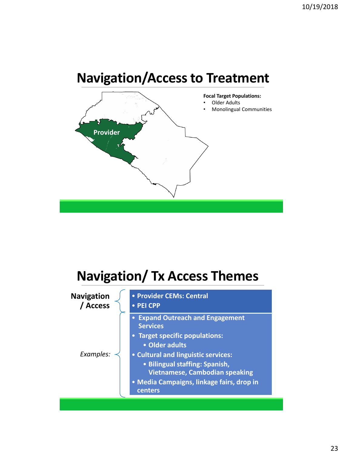# **Navigation/Access to Treatment**



# **Navigation/ Tx Access Themes**

| • Expand Outreach and Engagement<br><b>Services</b>                                                                                                                    |
|------------------------------------------------------------------------------------------------------------------------------------------------------------------------|
| • Target specific populations:<br>• Older adults                                                                                                                       |
| • Cultural and linguistic services:<br>• Bilingual staffing: Spanish,<br><b>Vietnamese, Cambodian speaking</b><br>• Media Campaigns, linkage fairs, drop in<br>centers |
|                                                                                                                                                                        |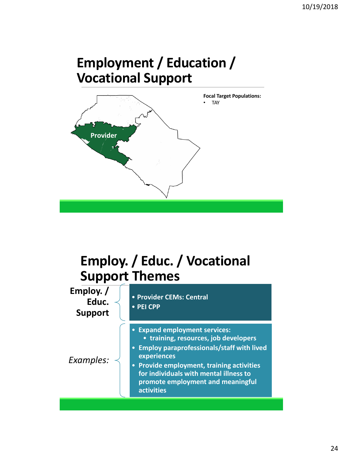# **Employment / Education / Vocational Support**



# **Employ. / Educ. / Vocational Support Themes**

**Employ. / Educ. Support** • **Provider CEMs: Central** • **PEI CPP** *Examples:* • **Expand employment services:** • **training, resources, job developers** • **Employ paraprofessionals/staff with lived experiences** • **Provide employment, training activities for individuals with mental illness to promote employment and meaningful activities**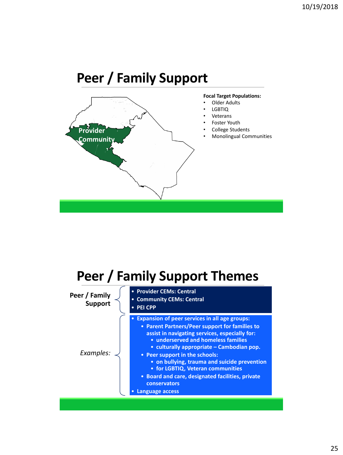# **Peer / Family Support**



# **Peer / Family Support Themes**

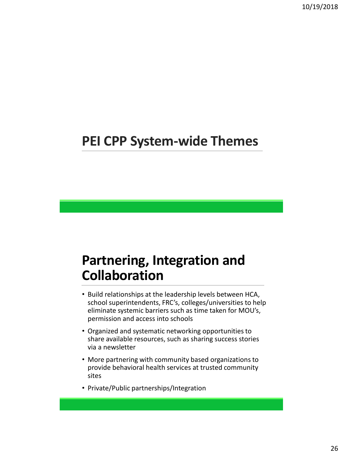## **PEI CPP System-wide Themes**

# **Partnering, Integration and Collaboration**

- Build relationships at the leadership levels between HCA, school superintendents, FRC's, colleges/universities to help eliminate systemic barriers such as time taken for MOU's, permission and access into schools
- Organized and systematic networking opportunities to share available resources, such as sharing success stories via a newsletter
- More partnering with community based organizations to provide behavioral health services at trusted community sites
- Private/Public partnerships/Integration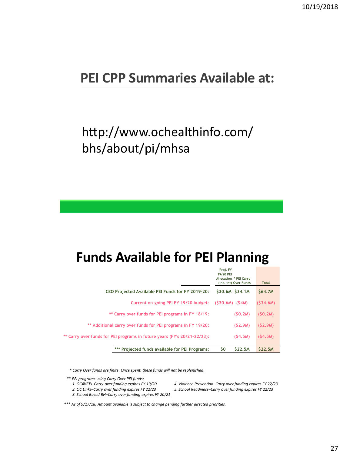### **PEI CPP Summaries Available at:**

# http://www.ochealthinfo.com/ bhs/about/pi/mhsa

### **Funds Available for PEI Planning**

| *** Projected funds available for PEI Programs;                          | \$0<br><b>S22.5M</b>                                                            | <b>S22.5M</b> |
|--------------------------------------------------------------------------|---------------------------------------------------------------------------------|---------------|
| ** Carry over funds for PEI programs in future years (FY's 20/21-22/23): | (S4.5M)                                                                         | (S4.5M)       |
| ** Additional carry over funds for PEI programs in FY 19/20;             | (S2.9M)                                                                         | (S2.9M)       |
| ** Carry over funds for PEI programs in FY 18/19:                        | (SO,2M)                                                                         | (S0, 2M)      |
| Current on-going PEI FY 19/20 budget:                                    | $(S30.6M)$ $(S4M)$                                                              | (S34.6M)      |
| CEO Projected Available PEI Funds for FY 2019-20;                        | \$30.6M \$34.1M                                                                 | \$64.7M       |
|                                                                          | Proj. FY<br>19/20 PEI<br><b>Allocation * PEI Carry</b><br>(inc. int) Over Funds | <b>Total</b>  |

*\* Carry Over funds are finite. Once spent, these funds will not be replenished.*

*\*\* PEI programs using Carry Over PEI funds:*

- *2. OC Links–Carry over funding expires FY 22/23 5. School Readiness–Carry over funding expires FY 22/23*
- *3. School Based BH–Carry over funding expires FY 20/21*

*1. OC4VETs–Carry over funding expires FY 19/20 4. Violence Prevention–Carry over funding expires FY 22/23*

*\*\*\* As of 9/17/18. Amount available is subject to change pending further directed priorities.*